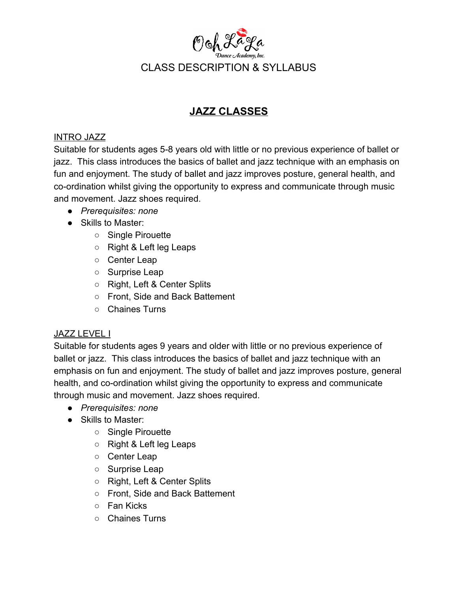

### **JAZZ CLASSES**

#### INTRO JAZZ

Suitable for students ages 5-8 years old with little or no previous experience of ballet or jazz. This class introduces the basics of ballet and jazz technique with an emphasis on fun and enjoyment. The study of ballet and jazz improves posture, general health, and co-ordination whilst giving the opportunity to express and communicate through music and movement. Jazz shoes required.

- *Prerequisites: none*
- Skills to Master:
	- Single Pirouette
	- Right & Left leg Leaps
	- Center Leap
	- Surprise Leap
	- Right, Left & Center Splits
	- Front, Side and Back Battement
	- Chaines Turns

### JAZZ LEVEL I

Suitable for students ages 9 years and older with little or no previous experience of ballet or jazz. This class introduces the basics of ballet and jazz technique with an emphasis on fun and enjoyment. The study of ballet and jazz improves posture, general health, and co-ordination whilst giving the opportunity to express and communicate through music and movement. Jazz shoes required.

- *Prerequisites: none*
- Skills to Master:
	- Single Pirouette
	- Right & Left leg Leaps
	- Center Leap
	- Surprise Leap
	- Right, Left & Center Splits
	- Front, Side and Back Battement
	- Fan Kicks
	- Chaines Turns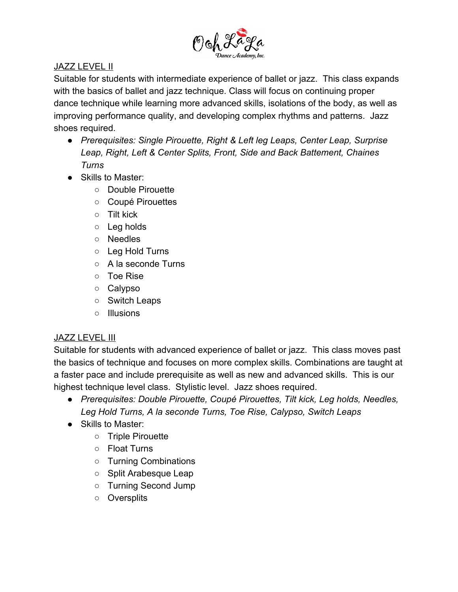

### JAZZ LEVEL II

Suitable for students with intermediate experience of ballet or jazz. This class expands with the basics of ballet and jazz technique. Class will focus on continuing proper dance technique while learning more advanced skills, isolations of the body, as well as improving performance quality, and developing complex rhythms and patterns. Jazz shoes required.

- *● Prerequisites: Single Pirouette, Right & Left leg Leaps, Center Leap, Surprise Leap, Right, Left & Center Splits, Front, Side and Back Battement, Chaines Turns*
- Skills to Master:
	- Double Pirouette
	- Coupé Pirouettes
	- Tilt kick
	- Leg holds
	- Needles
	- Leg Hold Turns
	- A la seconde Turns
	- Toe Rise
	- Calypso
	- Switch Leaps
	- Illusions

### **JAZZ LEVEL III**

Suitable for students with advanced experience of ballet or jazz. This class moves past the basics of technique and focuses on more complex skills. Combinations are taught at a faster pace and include prerequisite as well as new and advanced skills. This is our highest technique level class. Stylistic level. Jazz shoes required.

- *● Prerequisites: Double Pirouette, Coupé Pirouettes, Tilt kick, Leg holds, Needles, Leg Hold Turns, A la seconde Turns, Toe Rise, Calypso, Switch Leaps*
- Skills to Master:
	- Triple Pirouette
	- Float Turns
	- Turning Combinations
	- Split Arabesque Leap
	- Turning Second Jump
	- Oversplits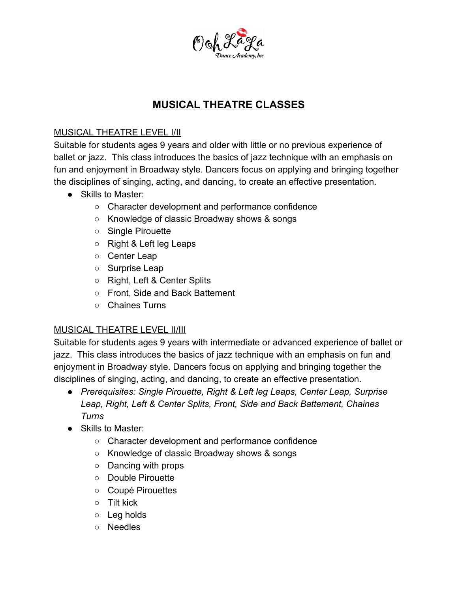

# **MUSICAL THEATRE CLASSES**

### MUSICAL THEATRE LEVEL I/II

Suitable for students ages 9 years and older with little or no previous experience of ballet or jazz. This class introduces the basics of jazz technique with an emphasis on fun and enjoyment in Broadway style. Dancers focus on applying and bringing together the disciplines of singing, acting, and dancing, to create an effective presentation.

- Skills to Master:
	- Character development and performance confidence
	- Knowledge of classic Broadway shows & songs
	- Single Pirouette
	- Right & Left leg Leaps
	- Center Leap
	- Surprise Leap
	- Right, Left & Center Splits
	- Front, Side and Back Battement
	- Chaines Turns

### MUSICAL THEATRE LEVEL II/III

Suitable for students ages 9 years with intermediate or advanced experience of ballet or jazz. This class introduces the basics of jazz technique with an emphasis on fun and enjoyment in Broadway style. Dancers focus on applying and bringing together the disciplines of singing, acting, and dancing, to create an effective presentation.

- *● Prerequisites: Single Pirouette, Right & Left leg Leaps, Center Leap, Surprise Leap, Right, Left & Center Splits, Front, Side and Back Battement, Chaines Turns*
- Skills to Master:
	- Character development and performance confidence
	- Knowledge of classic Broadway shows & songs
	- Dancing with props
	- *○* Double Pirouette
	- Coupé Pirouettes
	- Tilt kick
	- Leg holds
	- Needles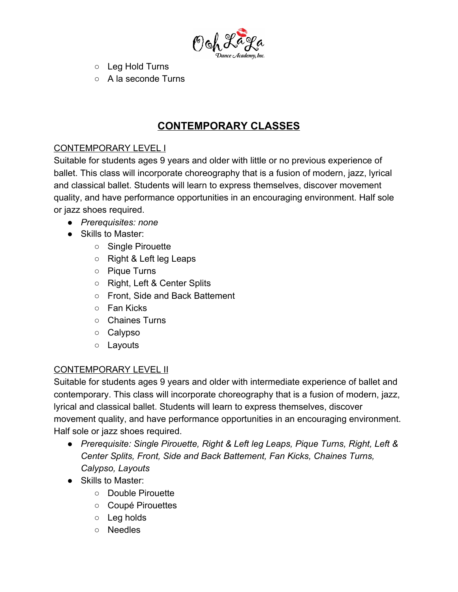

- Leg Hold Turns
- A la seconde Turns

### **CONTEMPORARY CLASSES**

### CONTEMPORARY LEVEL I

Suitable for students ages 9 years and older with little or no previous experience of ballet. This class will incorporate choreography that is a fusion of modern, jazz, lyrical and classical ballet. Students will learn to express themselves, discover movement quality, and have performance opportunities in an encouraging environment. Half sole or jazz shoes required.

- *Prerequisites: none*
- Skills to Master:
	- Single Pirouette
	- Right & Left leg Leaps
	- Pique Turns
	- Right, Left & Center Splits
	- Front, Side and Back Battement
	- Fan Kicks
	- Chaines Turns
	- Calypso
	- Layouts

### CONTEMPORARY LEVEL II

Suitable for students ages 9 years and older with intermediate experience of ballet and contemporary. This class will incorporate choreography that is a fusion of modern, jazz, lyrical and classical ballet. Students will learn to express themselves, discover movement quality, and have performance opportunities in an encouraging environment. Half sole or jazz shoes required.

- *● Prerequisite: Single Pirouette, Right & Left leg Leaps, Pique Turns, Right, Left & Center Splits, Front, Side and Back Battement, Fan Kicks, Chaines Turns, Calypso, Layouts*
- *●* Skills to Master:
	- Double Pirouette
	- Coupé Pirouettes
	- Leg holds
	- Needles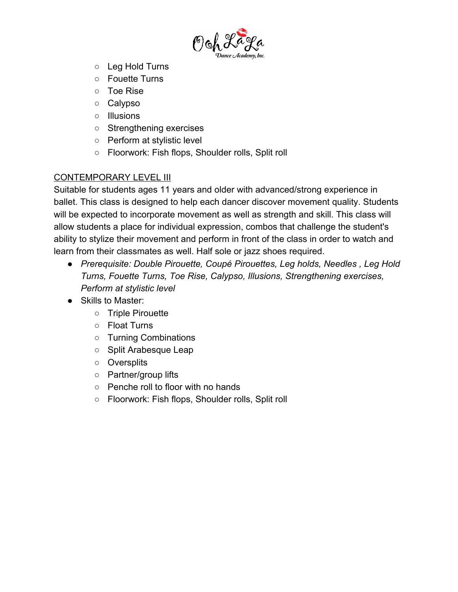

- Leg Hold Turns
- Fouette Turns
- Toe Rise
- Calypso
- Illusions
- Strengthening exercises
- Perform at stylistic level
- Floorwork: Fish flops, Shoulder rolls, Split roll

#### CONTEMPORARY LEVEL III

Suitable for students ages 11 years and older with advanced/strong experience in ballet. This class is designed to help each dancer discover movement quality. Students will be expected to incorporate movement as well as strength and skill. This class will allow students a place for individual expression, combos that challenge the student's ability to stylize their movement and perform in front of the class in order to watch and learn from their classmates as well. Half sole or jazz shoes required.

- *● Prerequisite: Double Pirouette, Coupé Pirouettes, Leg holds, Needles , Leg Hold Turns, Fouette Turns, Toe Rise, Calypso, Illusions, Strengthening exercises, Perform at stylistic level*
- *●* Skills to Master:
	- Triple Pirouette
	- Float Turns
	- Turning Combinations
	- Split Arabesque Leap
	- Oversplits
	- Partner/group lifts
	- Penche roll to floor with no hands
	- Floorwork: Fish flops, Shoulder rolls, Split roll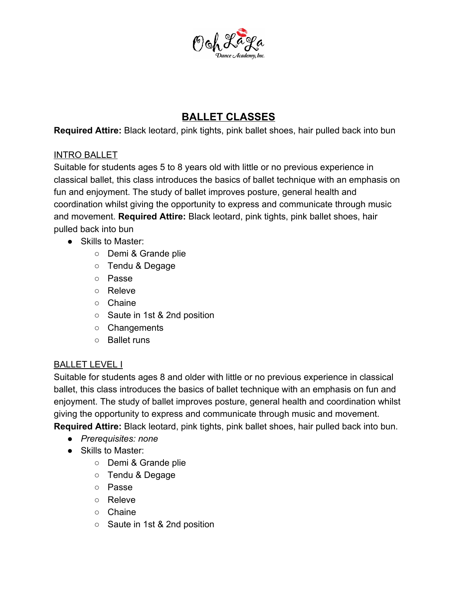

## **BALLET CLASSES**

**Required Attire:** Black leotard, pink tights, pink ballet shoes, hair pulled back into bun

#### INTRO BALLET

Suitable for students ages 5 to 8 years old with little or no previous experience in classical ballet, this class introduces the basics of ballet technique with an emphasis on fun and enjoyment. The study of ballet improves posture, general health and coordination whilst giving the opportunity to express and communicate through music and movement. **Required Attire:** Black leotard, pink tights, pink ballet shoes, hair pulled back into bun

- Skills to Master:
	- Demi & Grande plie
	- Tendu & Degage
	- Passe
	- Releve
	- Chaine
	- Saute in 1st & 2nd position
	- Changements
	- Ballet runs

### BALLET LEVEL I

Suitable for students ages 8 and older with little or no previous experience in classical ballet, this class introduces the basics of ballet technique with an emphasis on fun and enjoyment. The study of ballet improves posture, general health and coordination whilst giving the opportunity to express and communicate through music and movement. **Required Attire:** Black leotard, pink tights, pink ballet shoes, hair pulled back into bun.

- *Prerequisites: none*
- Skills to Master:
	- Demi & Grande plie
	- Tendu & Degage
	- Passe
	- Releve
	- Chaine
	- Saute in 1st & 2nd position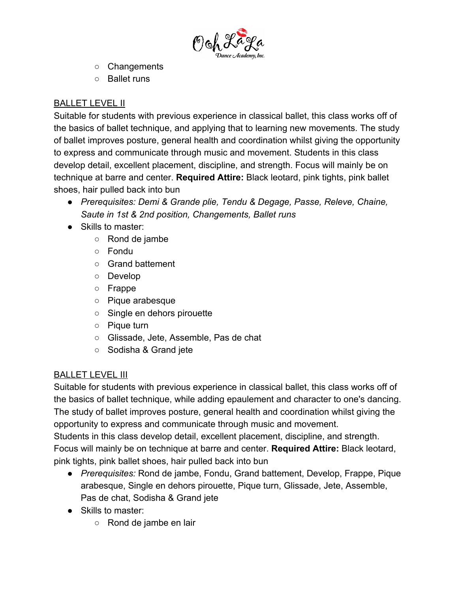

- Changements
- Ballet runs

### BALLET LEVEL II

Suitable for students with previous experience in classical ballet, this class works off of the basics of ballet technique, and applying that to learning new movements. The study of ballet improves posture, general health and coordination whilst giving the opportunity to express and communicate through music and movement. Students in this class develop detail, excellent placement, discipline, and strength. Focus will mainly be on technique at barre and center. **Required Attire:** Black leotard, pink tights, pink ballet shoes, hair pulled back into bun

- *● Prerequisites: Demi & Grande plie, Tendu & Degage, Passe, Releve, Chaine, Saute in 1st & 2nd position, Changements, Ballet runs*
- Skills to master:
	- Rond de jambe
	- Fondu
	- Grand battement
	- Develop
	- Frappe
	- Pique arabesque
	- Single en dehors pirouette
	- Pique turn
	- Glissade, Jete, Assemble, Pas de chat
	- Sodisha & Grand jete

### BALLET LEVEL III

Suitable for students with previous experience in classical ballet, this class works off of the basics of ballet technique, while adding epaulement and character to one's dancing. The study of ballet improves posture, general health and coordination whilst giving the opportunity to express and communicate through music and movement.

Students in this class develop detail, excellent placement, discipline, and strength. Focus will mainly be on technique at barre and center. **Required Attire:** Black leotard, pink tights, pink ballet shoes, hair pulled back into bun

- *● Prerequisites:* Rond de jambe, Fondu, Grand battement, Develop, Frappe, Pique arabesque, Single en dehors pirouette, Pique turn, Glissade, Jete, Assemble, Pas de chat, Sodisha & Grand jete
- Skills to master:
	- Rond de jambe en lair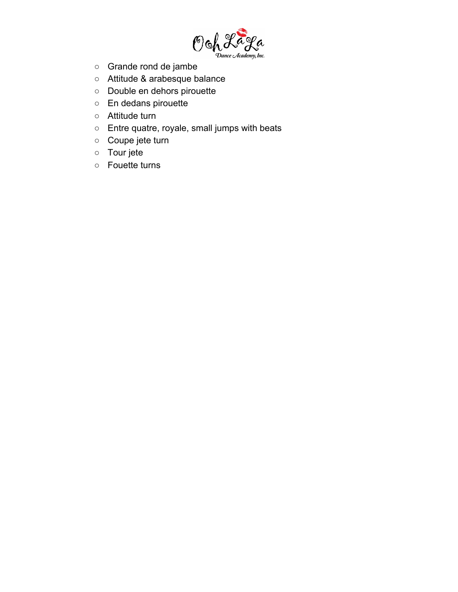

- Grande rond de jambe
- Attitude & arabesque balance
- Double en dehors pirouette
- En dedans pirouette
- Attitude turn
- Entre quatre, royale, small jumps with beats
- Coupe jete turn
- Tour jete
- Fouette turns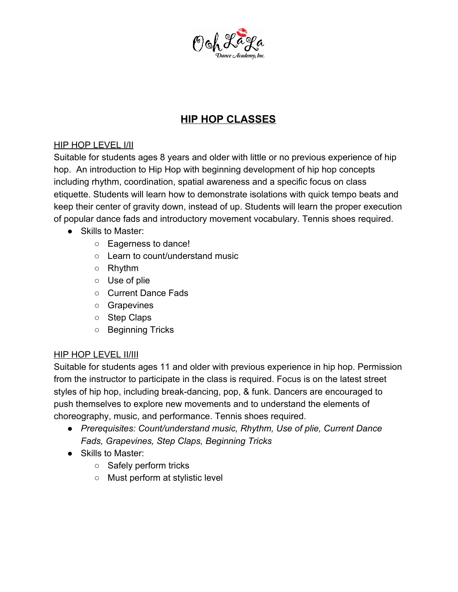

# **HIP HOP CLASSES**

### HIP HOP LEVEL I/II

Suitable for students ages 8 years and older with little or no previous experience of hip hop. An introduction to Hip Hop with beginning development of hip hop concepts including rhythm, coordination, spatial awareness and a specific focus on class etiquette. Students will learn how to demonstrate isolations with quick tempo beats and keep their center of gravity down, instead of up. Students will learn the proper execution of popular dance fads and introductory movement vocabulary. Tennis shoes required.

- Skills to Master:
	- Eagerness to dance!
	- Learn to count/understand music
	- Rhythm
	- Use of plie
	- Current Dance Fads
	- Grapevines
	- Step Claps
	- Beginning Tricks

### HIP HOP LEVEL II/III

Suitable for students ages 11 and older with previous experience in hip hop. Permission from the instructor to participate in the class is required. Focus is on the latest street styles of hip hop, including break-dancing, pop, & funk. Dancers are encouraged to push themselves to explore new movements and to understand the elements of choreography, music, and performance. Tennis shoes required.

- *● Prerequisites: Count/understand music, Rhythm, Use of plie, Current Dance Fads, Grapevines, Step Claps, Beginning Tricks*
- *●* Skills to Master:
	- Safely perform tricks
	- Must perform at stylistic level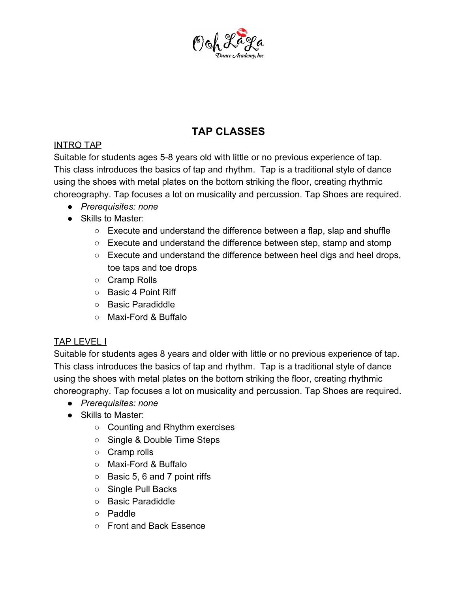

# **TAP CLASSES**

### INTRO TAP

Suitable for students ages 5-8 years old with little or no previous experience of tap. This class introduces the basics of tap and rhythm. Tap is a traditional style of dance using the shoes with metal plates on the bottom striking the floor, creating rhythmic choreography. Tap focuses a lot on musicality and percussion. Tap Shoes are required.

- *Prerequisites: none*
- Skills to Master:
	- Execute and understand the difference between a flap, slap and shuffle
	- Execute and understand the difference between step, stamp and stomp
	- Execute and understand the difference between heel digs and heel drops, toe taps and toe drops
	- Cramp Rolls
	- Basic 4 Point Riff
	- Basic Paradiddle
	- Maxi-Ford & Buffalo

### TAP LEVEL I

Suitable for students ages 8 years and older with little or no previous experience of tap. This class introduces the basics of tap and rhythm. Tap is a traditional style of dance using the shoes with metal plates on the bottom striking the floor, creating rhythmic choreography. Tap focuses a lot on musicality and percussion. Tap Shoes are required.

- *Prerequisites: none*
- Skills to Master:
	- Counting and Rhythm exercises
	- Single & Double Time Steps
	- Cramp rolls
	- Maxi-Ford & Buffalo
	- Basic 5, 6 and 7 point riffs
	- Single Pull Backs
	- Basic Paradiddle
	- Paddle
	- Front and Back Essence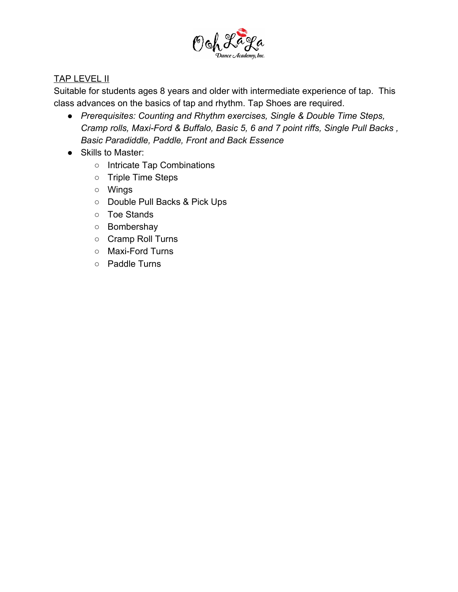

#### **TAP LEVEL II**

Suitable for students ages 8 years and older with intermediate experience of tap. This class advances on the basics of tap and rhythm. Tap Shoes are required.

- *● Prerequisites: Counting and Rhythm exercises, Single & Double Time Steps, Cramp rolls, Maxi-Ford & Buffalo, Basic 5, 6 and 7 point riffs, Single Pull Backs , Basic Paradiddle, Paddle, Front and Back Essence*
- Skills to Master:
	- Intricate Tap Combinations
	- Triple Time Steps
	- Wings
	- Double Pull Backs & Pick Ups
	- Toe Stands
	- Bombershay
	- Cramp Roll Turns
	- Maxi-Ford Turns
	- Paddle Turns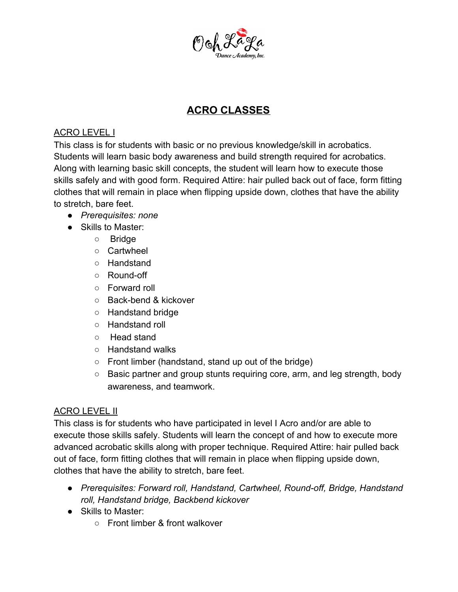

# **ACRO CLASSES**

### ACRO LEVEL I

This class is for students with basic or no previous knowledge/skill in acrobatics. Students will learn basic body awareness and build strength required for acrobatics. Along with learning basic skill concepts, the student will learn how to execute those skills safely and with good form. Required Attire: hair pulled back out of face, form fitting clothes that will remain in place when flipping upside down, clothes that have the ability to stretch, bare feet.

- *● Prerequisites: none*
- Skills to Master:
	- Bridge
	- Cartwheel
	- Handstand
	- Round-off
	- Forward roll
	- Back-bend & kickover
	- Handstand bridge
	- Handstand roll
	- Head stand
	- Handstand walks
	- Front limber (handstand, stand up out of the bridge)
	- Basic partner and group stunts requiring core, arm, and leg strength, body awareness, and teamwork.

### ACRO LEVEL II

This class is for students who have participated in level I Acro and/or are able to execute those skills safely. Students will learn the concept of and how to execute more advanced acrobatic skills along with proper technique. Required Attire: hair pulled back out of face, form fitting clothes that will remain in place when flipping upside down, clothes that have the ability to stretch, bare feet.

- *● Prerequisites: Forward roll, Handstand, Cartwheel, Round-off, Bridge, Handstand roll, Handstand bridge, Backbend kickover*
- Skills to Master:
	- Front limber & front walkover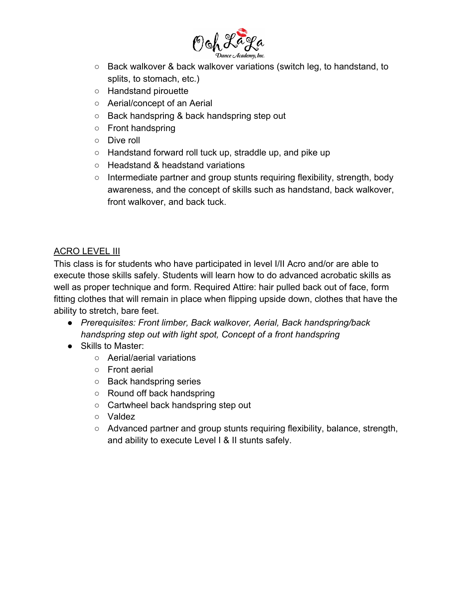

- Back walkover & back walkover variations (switch leg, to handstand, to splits, to stomach, etc.)
- Handstand pirouette
- Aerial/concept of an Aerial
- Back handspring & back handspring step out
- Front handspring
- Dive roll
- Handstand forward roll tuck up, straddle up, and pike up
- Headstand & headstand variations
- Intermediate partner and group stunts requiring flexibility, strength, body awareness, and the concept of skills such as handstand, back walkover, front walkover, and back tuck.

### ACRO LEVEL III

This class is for students who have participated in level I/II Acro and/or are able to execute those skills safely. Students will learn how to do advanced acrobatic skills as well as proper technique and form. Required Attire: hair pulled back out of face, form fitting clothes that will remain in place when flipping upside down, clothes that have the ability to stretch, bare feet.

- *● Prerequisites: Front limber, Back walkover, Aerial, Back handspring/back handspring step out with light spot, Concept of a front handspring*
- Skills to Master:
	- Aerial/aerial variations
	- Front aerial
	- Back handspring series
	- Round off back handspring
	- Cartwheel back handspring step out
	- Valdez
	- Advanced partner and group stunts requiring flexibility, balance, strength, and ability to execute Level I & II stunts safely.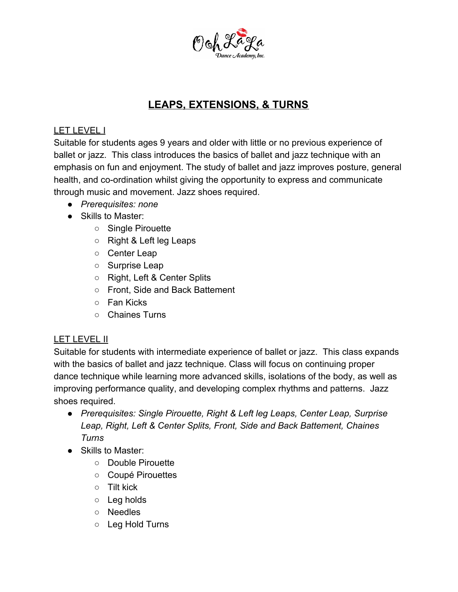

### **LEAPS, EXTENSIONS, & TURNS**

#### LET LEVEL I

Suitable for students ages 9 years and older with little or no previous experience of ballet or jazz. This class introduces the basics of ballet and jazz technique with an emphasis on fun and enjoyment. The study of ballet and jazz improves posture, general health, and co-ordination whilst giving the opportunity to express and communicate through music and movement. Jazz shoes required.

- *Prerequisites: none*
- Skills to Master:
	- Single Pirouette
	- Right & Left leg Leaps
	- Center Leap
	- Surprise Leap
	- Right, Left & Center Splits
	- Front, Side and Back Battement
	- Fan Kicks
	- Chaines Turns

### LET LEVEL II

Suitable for students with intermediate experience of ballet or jazz. This class expands with the basics of ballet and jazz technique. Class will focus on continuing proper dance technique while learning more advanced skills, isolations of the body, as well as improving performance quality, and developing complex rhythms and patterns. Jazz shoes required.

- *● Prerequisites: Single Pirouette, Right & Left leg Leaps, Center Leap, Surprise Leap, Right, Left & Center Splits, Front, Side and Back Battement, Chaines Turns*
- Skills to Master:
	- Double Pirouette
	- Coupé Pirouettes
	- Tilt kick
	- Leg holds
	- Needles
	- Leg Hold Turns